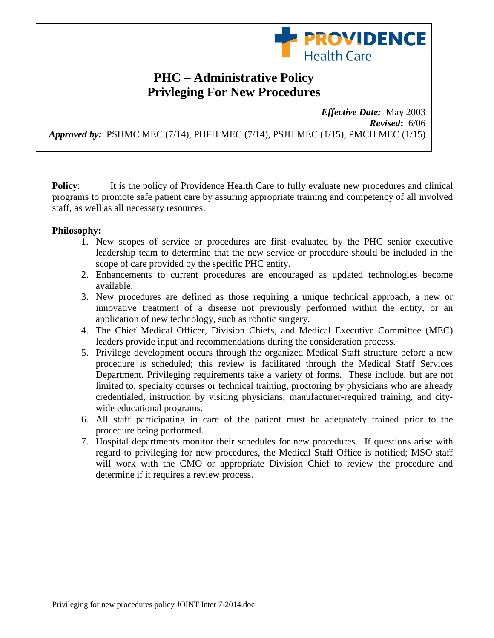

## **PHC – Administrative Policy Privleging For New Procedures**

*Effective Date:*May 2003 *Revised***:** 6/06 *Approved by:* PSHMC MEC (7/14), PHFH MEC (7/14), PSJH MEC (1/15), PMCH MEC (1/15)

**Policy:** It is the policy of Providence Health Care to fully evaluate new procedures and clinical programs to promote safe patient care by assuring appropriate training and competency of all involved staff, as well as all necessary resources.

## **Philosophy:**

- 1. New scopes of service or procedures are first evaluated by the PHC senior executive leadership team to determine that the new service or procedure should be included in the scope of care provided by the specific PHC entity.
- 2. Enhancements to current procedures are encouraged as updated technologies become available.
- 3. New procedures are defined as those requiring a unique technical approach, a new or innovative treatment of a disease not previously performed within the entity, or an application of new technology, such as robotic surgery.
- 4. The Chief Medical Officer, Division Chiefs, and Medical Executive Committee (MEC) leaders provide input and recommendations during the consideration process.
- 5. Privilege development occurs through the organized Medical Staff structure before a new procedure is scheduled; this review is facilitated through the Medical Staff Services Department. Privileging requirements take a variety of forms. These include, but are not limited to, specialty courses or technical training, proctoring by physicians who are already credentialed, instruction by visiting physicians, manufacturer-required training, and citywide educational programs.
- 6. All staff participating in care of the patient must be adequately trained prior to the procedure being performed.
- 7. Hospital departments monitor their schedules for new procedures. If questions arise with regard to privileging for new procedures, the Medical Staff Office is notified; MSO staff will work with the CMO or appropriate Division Chief to review the procedure and determine if it requires a review process.